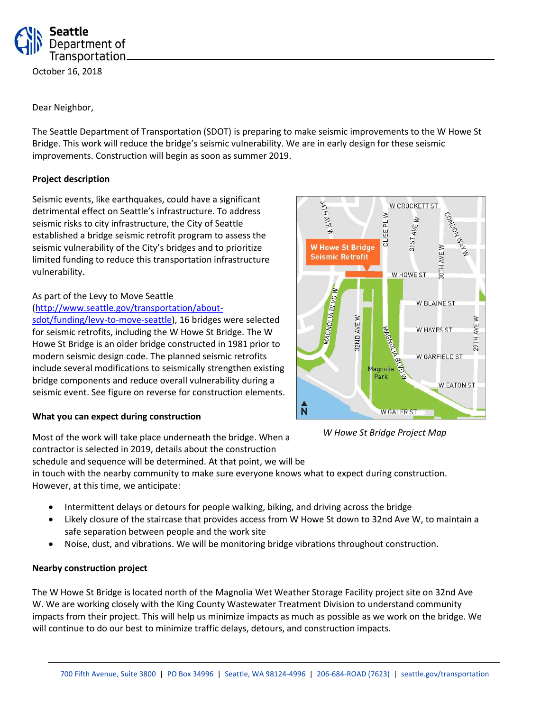

October 16, 2018

## Dear Neighbor,

The Seattle Department of Transportation (SDOT) is preparing to make seismic improvements to the W Howe St Bridge. This work will reduce the bridge's seismic vulnerability. We are in early design for these seismic improvements. Construction will begin as soon as summer 2019.

## **Project description**

Seismic events, like earthquakes, could have a significant detrimental effect on Seattle's infrastructure. To address seismic risks to city infrastructure, the City of Seattle established a bridge seismic retrofit program to assess the seismic vulnerability of the City's bridges and to prioritize limited funding to reduce this transportation infrastructure vulnerability.

### As part of the Levy to Move Seattle

### [\(http://www.seattle.gov/transportation/about-](http://www.seattle.gov/transportation/about-sdot/funding/levy-to-move-seattle)

[sdot/funding/levy-to-move-seattle\)](http://www.seattle.gov/transportation/about-sdot/funding/levy-to-move-seattle), 16 bridges were selected for seismic retrofits, including the W Howe St Bridge. The W Howe St Bridge is an older bridge constructed in 1981 prior to modern seismic design code. The planned seismic retrofits include several modifications to seismically strengthen existing bridge components and reduce overall vulnerability during a seismic event. See figure on reverse for construction elements.

#### **What you can expect during construction**

HLTE W CROCKETT ST ≥ Αř 4  $\overline{a}$ 3157 $AVE$  $M$ CLISE<sub>I</sub> 4 **W Howe St Bridge BAVE Seismic Retrofit** W HOWE ST **MAGNOLIA BLVDW W BLAINE ST** 32ND AVE W 29TH AVE W W HAYES ST W GARFIELD ST agnolia Park W EATON ST  $\hat{\overline{\mathsf{N}}}$ **W GALER ST** 

*W Howe St Bridge Project Map*

Most of the work will take place underneath the bridge. When a contractor is selected in 2019, details about the construction

schedule and sequence will be determined. At that point, we will be

in touch with the nearby community to make sure everyone knows what to expect during construction. However, at this time, we anticipate:

- Intermittent delays or detours for people walking, biking, and driving across the bridge
- Likely closure of the staircase that provides access from W Howe St down to 32nd Ave W, to maintain a safe separation between people and the work site
- Noise, dust, and vibrations. We will be monitoring bridge vibrations throughout construction.

# **Nearby construction project**

The W Howe St Bridge is located north of the Magnolia Wet Weather Storage Facility project site on 32nd Ave W. We are working closely with the King County Wastewater Treatment Division to understand community impacts from their project. This will help us minimize impacts as much as possible as we work on the bridge. We will continue to do our best to minimize traffic delays, detours, and construction impacts.